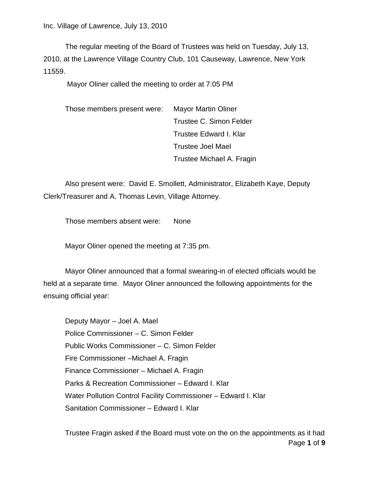Inc. Village of Lawrence, July 13, 2010

The regular meeting of the Board of Trustees was held on Tuesday, July 13, 2010, at the Lawrence Village Country Club, 101 Causeway, Lawrence, New York 11559.

Mayor Oliner called the meeting to order at 7:05 PM

Those members present were: Mayor Martin Oliner Trustee C. Simon Felder Trustee Edward I. Klar Trustee Joel Mael Trustee Michael A. Fragin

Also present were: David E. Smollett, Administrator, Elizabeth Kaye, Deputy Clerk/Treasurer and A. Thomas Levin, Village Attorney.

Those members absent were: None

Mayor Oliner opened the meeting at 7:35 pm.

Mayor Oliner announced that a formal swearing-in of elected officials would be held at a separate time. Mayor Oliner announced the following appointments for the ensuing official year:

Deputy Mayor – Joel A. Mael Police Commissioner – C. Simon Felder Public Works Commissioner – C. Simon Felder Fire Commissioner –Michael A. Fragin Finance Commissioner – Michael A. Fragin Parks & Recreation Commissioner – Edward I. Klar Water Pollution Control Facility Commissioner – Edward I. Klar Sanitation Commissioner – Edward I. Klar

Page **1** of **9** Trustee Fragin asked if the Board must vote on the on the appointments as it had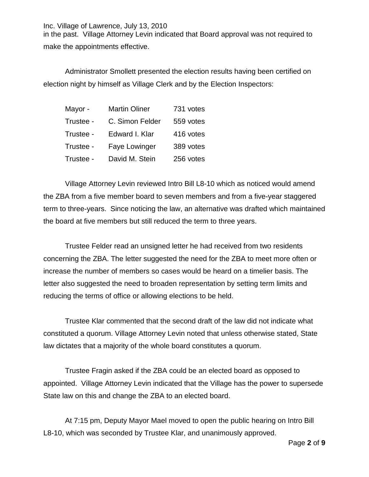Inc. Village of Lawrence, July 13, 2010 in the past. Village Attorney Levin indicated that Board approval was not required to make the appointments effective.

Administrator Smollett presented the election results having been certified on election night by himself as Village Clerk and by the Election Inspectors:

| Mayor -   | <b>Martin Oliner</b> | 731 votes |
|-----------|----------------------|-----------|
| Trustee - | C. Simon Felder      | 559 votes |
| Trustee - | Edward I. Klar       | 416 votes |
| Trustee - | Faye Lowinger        | 389 votes |
| Trustee - | David M. Stein       | 256 votes |

Village Attorney Levin reviewed Intro Bill L8-10 which as noticed would amend the ZBA from a five member board to seven members and from a five-year staggered term to three-years. Since noticing the law, an alternative was drafted which maintained the board at five members but still reduced the term to three years.

Trustee Felder read an unsigned letter he had received from two residents concerning the ZBA. The letter suggested the need for the ZBA to meet more often or increase the number of members so cases would be heard on a timelier basis. The letter also suggested the need to broaden representation by setting term limits and reducing the terms of office or allowing elections to be held.

Trustee Klar commented that the second draft of the law did not indicate what constituted a quorum. Village Attorney Levin noted that unless otherwise stated, State law dictates that a majority of the whole board constitutes a quorum.

Trustee Fragin asked if the ZBA could be an elected board as opposed to appointed. Village Attorney Levin indicated that the Village has the power to supersede State law on this and change the ZBA to an elected board.

At 7:15 pm, Deputy Mayor Mael moved to open the public hearing on Intro Bill L8-10, which was seconded by Trustee Klar, and unanimously approved.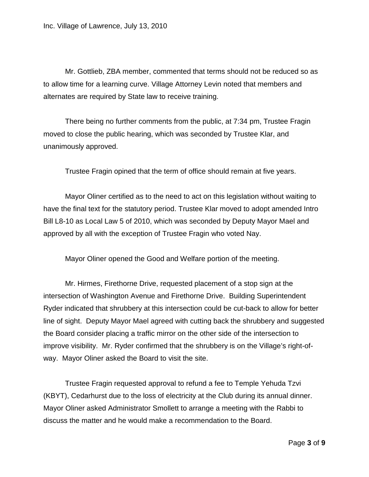Mr. Gottlieb, ZBA member, commented that terms should not be reduced so as to allow time for a learning curve. Village Attorney Levin noted that members and alternates are required by State law to receive training.

There being no further comments from the public, at 7:34 pm, Trustee Fragin moved to close the public hearing, which was seconded by Trustee Klar, and unanimously approved.

Trustee Fragin opined that the term of office should remain at five years.

Mayor Oliner certified as to the need to act on this legislation without waiting to have the final text for the statutory period. Trustee Klar moved to adopt amended Intro Bill L8-10 as Local Law 5 of 2010, which was seconded by Deputy Mayor Mael and approved by all with the exception of Trustee Fragin who voted Nay.

Mayor Oliner opened the Good and Welfare portion of the meeting.

Mr. Hirmes, Firethorne Drive, requested placement of a stop sign at the intersection of Washington Avenue and Firethorne Drive. Building Superintendent Ryder indicated that shrubbery at this intersection could be cut-back to allow for better line of sight. Deputy Mayor Mael agreed with cutting back the shrubbery and suggested the Board consider placing a traffic mirror on the other side of the intersection to improve visibility. Mr. Ryder confirmed that the shrubbery is on the Village's right-ofway. Mayor Oliner asked the Board to visit the site.

Trustee Fragin requested approval to refund a fee to Temple Yehuda Tzvi (KBYT), Cedarhurst due to the loss of electricity at the Club during its annual dinner. Mayor Oliner asked Administrator Smollett to arrange a meeting with the Rabbi to discuss the matter and he would make a recommendation to the Board.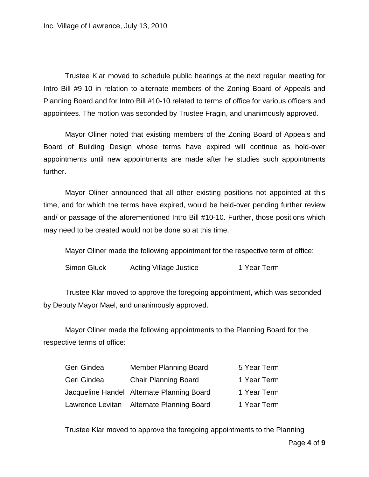Trustee Klar moved to schedule public hearings at the next regular meeting for Intro Bill #9-10 in relation to alternate members of the Zoning Board of Appeals and Planning Board and for Intro Bill #10-10 related to terms of office for various officers and appointees. The motion was seconded by Trustee Fragin, and unanimously approved.

Mayor Oliner noted that existing members of the Zoning Board of Appeals and Board of Building Design whose terms have expired will continue as hold-over appointments until new appointments are made after he studies such appointments further.

Mayor Oliner announced that all other existing positions not appointed at this time, and for which the terms have expired, would be held-over pending further review and/ or passage of the aforementioned Intro Bill #10-10. Further, those positions which may need to be created would not be done so at this time.

Mayor Oliner made the following appointment for the respective term of office:

Simon Gluck Acting Village Justice 1 Year Term

Trustee Klar moved to approve the foregoing appointment, which was seconded by Deputy Mayor Mael, and unanimously approved.

Mayor Oliner made the following appointments to the Planning Board for the respective terms of office:

| Geri Gindea | <b>Member Planning Board</b>               | 5 Year Term |
|-------------|--------------------------------------------|-------------|
| Geri Gindea | <b>Chair Planning Board</b>                | 1 Year Term |
|             | Jacqueline Handel Alternate Planning Board | 1 Year Term |
|             | Lawrence Levitan Alternate Planning Board  | 1 Year Term |

Trustee Klar moved to approve the foregoing appointments to the Planning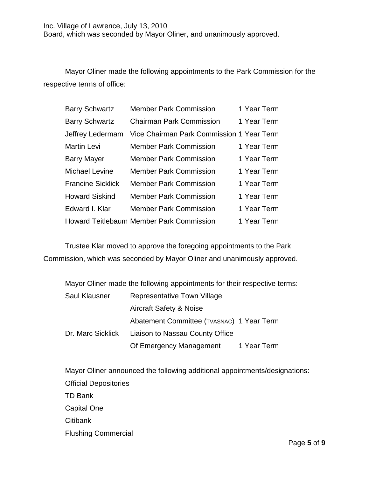Mayor Oliner made the following appointments to the Park Commission for the respective terms of office:

| <b>Barry Schwartz</b>    | <b>Member Park Commission</b>                   | 1 Year Term |
|--------------------------|-------------------------------------------------|-------------|
| <b>Barry Schwartz</b>    | <b>Chairman Park Commission</b>                 | 1 Year Term |
| Jeffrey Ledermam         | Vice Chairman Park Commission 1 Year Term       |             |
| <b>Martin Levi</b>       | <b>Member Park Commission</b>                   | 1 Year Term |
| <b>Barry Mayer</b>       | <b>Member Park Commission</b>                   | 1 Year Term |
| Michael Levine           | <b>Member Park Commission</b>                   | 1 Year Term |
| <b>Francine Sicklick</b> | <b>Member Park Commission</b>                   | 1 Year Term |
| <b>Howard Siskind</b>    | <b>Member Park Commission</b>                   | 1 Year Term |
| Edward I. Klar           | <b>Member Park Commission</b>                   | 1 Year Term |
|                          | <b>Howard Teitlebaum Member Park Commission</b> | 1 Year Term |

Trustee Klar moved to approve the foregoing appointments to the Park Commission, which was seconded by Mayor Oliner and unanimously approved.

|                   | Mayor Oliner made the following appointments for their respective terms: |             |  |
|-------------------|--------------------------------------------------------------------------|-------------|--|
| Saul Klausner     | Representative Town Village                                              |             |  |
|                   | <b>Aircraft Safety &amp; Noise</b>                                       |             |  |
|                   | Abatement Committee (TVASNAC) 1 Year Term                                |             |  |
| Dr. Marc Sicklick | Liaison to Nassau County Office                                          |             |  |
|                   | Of Emergency Management                                                  | 1 Year Term |  |

Mayor Oliner announced the following additional appointments/designations: TD Bank Official Depositories Capital One **Citibank** Flushing Commercial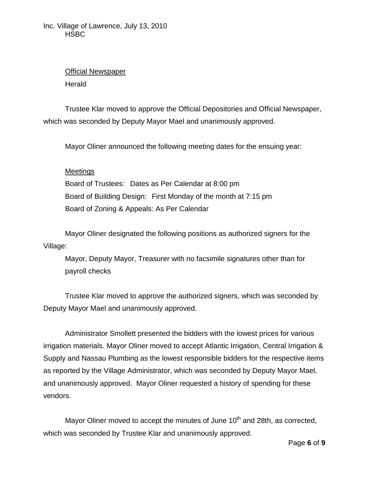## Official Newspaper

**Herald** 

Trustee Klar moved to approve the Official Depositories and Official Newspaper, which was seconded by Deputy Mayor Mael and unanimously approved.

Mayor Oliner announced the following meeting dates for the ensuing year:

## Meetings

Board of Trustees: Dates as Per Calendar at 8:00 pm Board of Building Design: First Monday of the month at 7:15 pm Board of Zoning & Appeals: As Per Calendar

Mayor Oliner designated the following positions as authorized signers for the Village:

Mayor, Deputy Mayor, Treasurer with no facsimile signatures other than for payroll checks

Trustee Klar moved to approve the authorized signers, which was seconded by Deputy Mayor Mael and unanimously approved.

Administrator Smollett presented the bidders with the lowest prices for various irrigation materials. Mayor Oliner moved to accept Atlantic Irrigation, Central Irrigation & Supply and Nassau Plumbing as the lowest responsible bidders for the respective items as reported by the Village Administrator, which was seconded by Deputy Mayor Mael, and unanimously approved. Mayor Oliner requested a history of spending for these vendors.

Mayor Oliner moved to accept the minutes of June  $10<sup>th</sup>$  and 28th, as corrected, which was seconded by Trustee Klar and unanimously approved.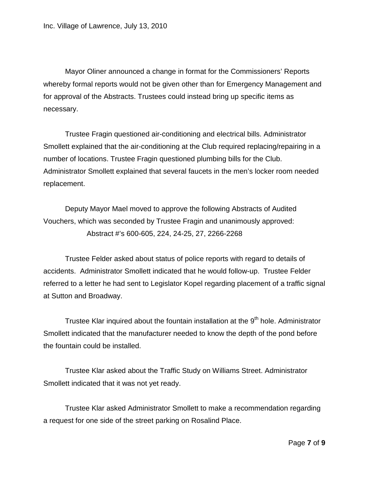Mayor Oliner announced a change in format for the Commissioners' Reports whereby formal reports would not be given other than for Emergency Management and for approval of the Abstracts. Trustees could instead bring up specific items as necessary.

Trustee Fragin questioned air-conditioning and electrical bills. Administrator Smollett explained that the air-conditioning at the Club required replacing/repairing in a number of locations. Trustee Fragin questioned plumbing bills for the Club. Administrator Smollett explained that several faucets in the men's locker room needed replacement.

Deputy Mayor Mael moved to approve the following Abstracts of Audited Vouchers, which was seconded by Trustee Fragin and unanimously approved: Abstract #'s 600-605, 224, 24-25, 27, 2266-2268

Trustee Felder asked about status of police reports with regard to details of accidents. Administrator Smollett indicated that he would follow-up. Trustee Felder referred to a letter he had sent to Legislator Kopel regarding placement of a traffic signal at Sutton and Broadway.

Trustee Klar inquired about the fountain installation at the  $9<sup>th</sup>$  hole. Administrator Smollett indicated that the manufacturer needed to know the depth of the pond before the fountain could be installed.

Trustee Klar asked about the Traffic Study on Williams Street. Administrator Smollett indicated that it was not yet ready.

Trustee Klar asked Administrator Smollett to make a recommendation regarding a request for one side of the street parking on Rosalind Place.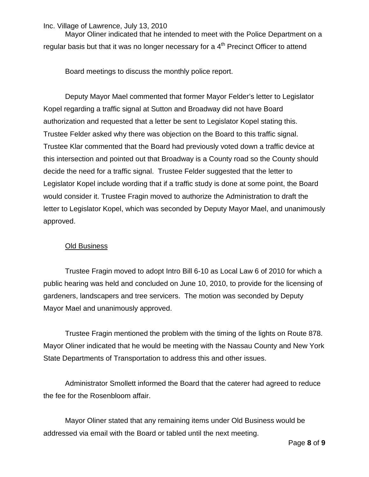Inc. Village of Lawrence, July 13, 2010

Mayor Oliner indicated that he intended to meet with the Police Department on a regular basis but that it was no longer necessary for a  $4<sup>th</sup>$  Precinct Officer to attend

Board meetings to discuss the monthly police report.

Deputy Mayor Mael commented that former Mayor Felder's letter to Legislator Kopel regarding a traffic signal at Sutton and Broadway did not have Board authorization and requested that a letter be sent to Legislator Kopel stating this. Trustee Felder asked why there was objection on the Board to this traffic signal. Trustee Klar commented that the Board had previously voted down a traffic device at this intersection and pointed out that Broadway is a County road so the County should decide the need for a traffic signal. Trustee Felder suggested that the letter to Legislator Kopel include wording that if a traffic study is done at some point, the Board would consider it. Trustee Fragin moved to authorize the Administration to draft the letter to Legislator Kopel, which was seconded by Deputy Mayor Mael, and unanimously approved.

## Old Business

Trustee Fragin moved to adopt Intro Bill 6-10 as Local Law 6 of 2010 for which a public hearing was held and concluded on June 10, 2010, to provide for the licensing of gardeners, landscapers and tree servicers. The motion was seconded by Deputy Mayor Mael and unanimously approved.

Trustee Fragin mentioned the problem with the timing of the lights on Route 878. Mayor Oliner indicated that he would be meeting with the Nassau County and New York State Departments of Transportation to address this and other issues.

Administrator Smollett informed the Board that the caterer had agreed to reduce the fee for the Rosenbloom affair.

Mayor Oliner stated that any remaining items under Old Business would be addressed via email with the Board or tabled until the next meeting.